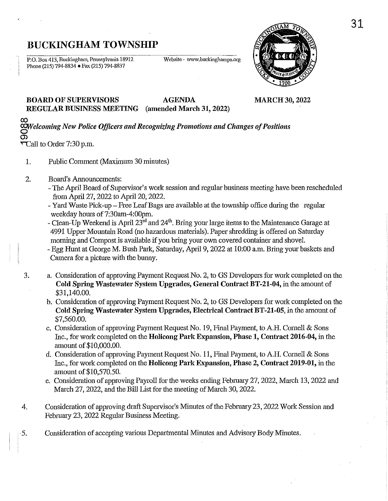# **BUCKINGHAM TOWNSHIP**

P.O. Box 413, Buckingham, Pennsylvania 18912 Phone (215) 794-8834 . Fax (215) 794-8837

Website - www.buckinghampa.org



BOARD OF SUPERVISORS AGENDA MARCH 30, 2022 REGULAR BUSINESS MEETING (amended March 31, 2022)

CO *'§'Vefcoming New Police Officers and Recognizing Promotions and Changes of Positions*  <u>ත</u>

 $\tau$ Call to Order 7:30 p.m.

- 1. Public Comment (Maximum 30 minutes)
- 2. Board's Announcements:
	- The April Board of Supervisor's work session and regular business meeting have been rescheduled from April 27, 2022 to April 20, 2022.
	- Yard Waste Pick-up Free Leaf Bags are available at the township office during the regular weekday hours of 7:30am-4:00pm.
	- Clean-Up Weekend is April  $23<sup>rd</sup>$  and  $24<sup>th</sup>$ . Bring your large items to the Maintenance Garage at 4991 Upper Mountain Road (no hazardous materials). Paper shredding is offered on Saturday morning and Compost is available if you bring your own covered container and shovel.
	- Egg Hunt at George M. Bush Park, Saturday, April 9, 2022 at 10:00 a.m. Bring your baskets and Camera for a picture with the buuny.
- 3. a. Consideration of approving Payment Request No.2, to GS Developers for work completed on the Cold Spring Wastewater System Upgrades, General Contract BT-21-04, in the amount of \$31,140.00.
	- b. Consideration of approving Payment Request No.2, to GS Developers for work completed on the Cold Spring Wastewater System Upgrades, Electrical Contract BT.21·0S, in the amount of \$7,560.00.
	- c. Consideration of approving Payment Request No. 19, Final Payment, to A.H. Cornell & Sons Inc., for work completed on the Holicong Park Expansion, Phase 1, Contract 2016·04, in the amount of \$10,000.00.
	- d. Consideration of approving Payment Request No. 11, Final Payment, to A.H. Cornell & Sons Inc., for work completed on the Holicong Park Expansion, Phase 2, Contract 2019·01, in the amount of \$10,570.50.
	- e. Consideration of approving Payroll for the weeks ending February 27, 2022, March 13, 2022 and March 27, 2022, and the Bill List for the meeting of March 30, 2022.
- 4. Consideration of approving draft Supervisor's Minutes of the February 23, 2022 Work Session and February 23, 2022 Regular Business Meeting.
- 5. Consideration of accepting various Departmental Minutes and Advisory Body Minutes.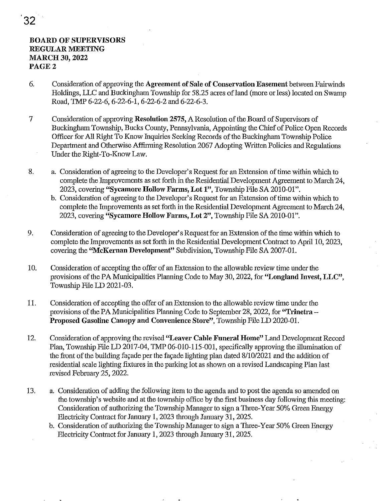# BOARD OF SUPERVISORS REGULAR MEETING MARCH 30, 2022 PAGE 2

- 6. Consideration of approving the Agreement of Sale of Conservation Easement between Fairwinds Holdings, LLC and Buckingham Township for 58.25 acres of land (more or less) located on Swamp Road, TMP 6-22-6,6-22-6-1,6-22-6-2 and 6-22-6-3.
- 7 Consideration of approving Resolution 2575, A Resolution of the Board of Supervisors of Buckingham Township, Bucks County, Pennsylvania, Appointing the Chief of Police Open Records Officer for All Right To Know Inquiries Seeking Records of the Buckingham Township Police Department and Otherwise Affirming Resolution 2067 Adopting Written Policies and Regulations Under the Right-To-Know Law.
- 8. a. Consideration of agreeing to the Developer's Request for an Extension of time within which to complete the Improvements as set forth in the Residential Development Agreement to March 24, 2023, covering "Sycamore Hollow Farms, Lot I", Township File SA 2010-01".
	- b. Consideration of agreeing to the Developer's Request for an Extension of time within which to complete the Improvements as set forth in the Residential Development Agreement to March 24, 2023, covering "Sycamore Hollow Farms, Lot 2", Township File SA 2010-01".
- 9. Consideration of agreeing to the Developer's Request for an Extension of the time within which to complete the Improvements as set forth in the Residential Development Contract to April 10, 2023, covering the ''McKernan Development" Subdivision, Township File SA 2007-01.
- 10. Consideration of accepting the offer of an Extension to the allowable review time under the provisions of the PA Municipalities Planning Code to May 30, 2022, for "Longland Invest, LLC", Township File LD 2021-03.
- 11. Consideration of accepting the offer of an Extension to the allowable review time under the provisions of the PA Municipalities Planning Code to September 28, 2022, for "Trinetra-Proposed Gasoline Canopy and Convenience Store", Township File LD 2020-01.
- 12. Consideration of approving the revised "Leaver Cable Funeral Home" Land Development Record Plan, Township File LD 2017-04, TMP 06-010-115-001, specifically approving the illumination of the front of the building façade per the façade lighting plan dated 8/10/2021 and the addition of residential scale lighting fixtures in the parking lot as shown on a revised Landscaping Plan last revised February 25, 2022.
- 13. a. Consideration of adding the following item to the agenda and to post the agenda so amended on the township's website and at the township office by the first business day following this meeting: Consideration of authorizing the Township Manager to sign a Three-Year 50% Green Energy Electricity Contract for January 1, 2023 through January 31, 2025.
	- b. Consideration of authorizing the Township Manager to sign a Three-Year 50% Green Energy Electricity Contract for January 1, 2023 through January 31, 2025.

32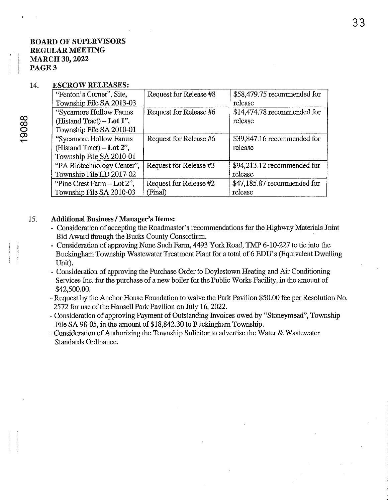# BOARD OF SUPERVISORS REGULAR MEETING MARCH 30, 2022 PAGE 3

#### 14. ESCROW RELEASES:

| "Fenton's Corner", Site,<br>Township File SA 2013-03                              | Request for Release #8            | \$58,479.75 recommended for<br>release |
|-----------------------------------------------------------------------------------|-----------------------------------|----------------------------------------|
| "Sycamore Hollow Farms<br>(Histand Tract) $-$ Lot 1",<br>Township File SA 2010-01 | Request for Release #6            | \$14,474.78 recommended for<br>release |
| "Sycamore Hollow Farms<br>(Histand Tract) $-Lot 2$ ",<br>Township File SA 2010-01 | Request for Release #6            | \$39,847.16 recommended for<br>release |
| "PA Biotechnology Center",<br>Township File LD 2017-02                            | Request for Release #3            | \$94,213.12 recommended for<br>release |
| "Pine Crest Farm - Lot 2",<br>Township File SA 2010-03                            | Request for Release #2<br>(Final) | \$47,185.87 recommended for<br>release |

#### 15. Additional Business / Manager's Items:

- Consideration of accepting the Roadmaster's recommendations for the Highway Materials Joint Bid Award through the Bucks County Consortium.
- Consideration of approving None Such Fann, 4493 York Road, TMP 6-10-227 to tie into the Buckingham Township Wastewater Treatment Plant for a total of 6 EDU's (Equivalent Dwelling Unit).
- Consideration of approving the Purchase Order to Doylestown Heating and Air Conditioning Services Inc. for the purchase of a new boiler for the Public Works Facility, in the amount of \$42,500.00.
- Request by the Anchor House Foundation to waive the Park Pavilion \$50.00 fee per Resolution No. 2572 for use of the Hansell Park Pavilion on July 16, 2022.
- Consideration of approving Payment of Outstanding Invoices owed by "Stoneymead", Township File SA 98-05, in the amount of \$18,842.30 to Buckingham Township.
- Consideration of Authorizing the Township Solicitor to advertise the Water & Wastewater Standards Ordinance.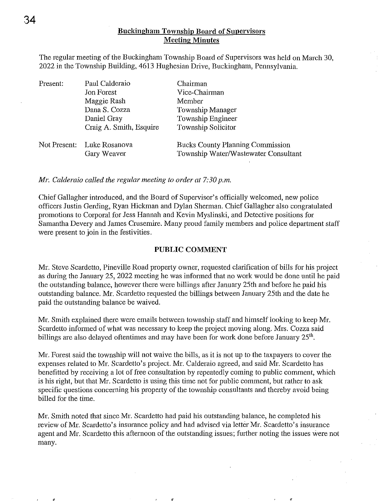The regular meeting of the Buckingham Township Board of Supervisors was held on March 30, 2022 in the Township Building, 4613 Hughesian Drive, Buckingham, Pennsylvania,

| Present: | Paul Calderaio                            | Chairman                                                                        |
|----------|-------------------------------------------|---------------------------------------------------------------------------------|
|          | <b>Jon Forest</b>                         | Vice-Chairman                                                                   |
|          | Maggie Rash                               | Member                                                                          |
|          | Dana S. Cozza                             | Township Manager                                                                |
|          | Daniel Gray                               | Township Engineer                                                               |
|          | Craig A. Smith, Esquire                   | Township Solicitor                                                              |
|          | Not Present: Luke Rosanova<br>Gary Weaver | <b>Bucks County Planning Commission</b><br>Township Water/Wastewater Consultant |

*Mr. Calderaio called the regular meeting to order at 7:30 p.m.* 

Chief Gallagher introduced, and the Board of Supervisor's officially welcomed, new police officers Justin Gerding, Ryan Hickman and Dylan Sherman, Chief Gallagher also congratulated promotions to Corporal for Jess Hannah and Kevin Myslinski, and Detective positions for Samantha Devery and James Crusemire, Many proud family members and police department staff were present to join in the festivities,

#### **PUBLIC COMMENT**

Mr. Steve Scardetto, Pineville Road property owner, requested clarification of bills for his project as during the January 25, 2022 meeting he was informed that no work would be done until he paid the outstanding balance, however there were billings after January 25th and before he paid his outstanding balance, Mr. Scardetto requested the billings between January 25th and the date he paid the outstanding balance be waived,

**Mr.** Smith explained there were emails between township staff and himself looking to keep Mr. Scardetto informed of what was necessary to keep the project moving along, Mrs, Cozza said billings are also delayed oftentimes and may have been for work done before January 25<sup>th</sup>,

Mr. Forest said the township will not waive the bills, as it is not up to the taxpayers to cover the expenses related to Mr. Scardetto's project. Mr. Calderaio agreed, and said Mr. Scardetto has benefitted by receiving a lot of free consultation by repeatedly coming to public comment, which is his right, but that Mr. Scardetto is using this time not for public comment, but rather to ask specific questions concerning his property of the township consultants and thereby avoid being billed for the time,

Mr. Smith noted that since Mr. Scardetto had paid his outstanding balance, he completed his review of Mr. Scardetto's insurance policy and had advised via letter Mr. Scardetto's insurance agent and Mr. Scardetto this afternoon of the outstanding issues; further noting the issues were not many,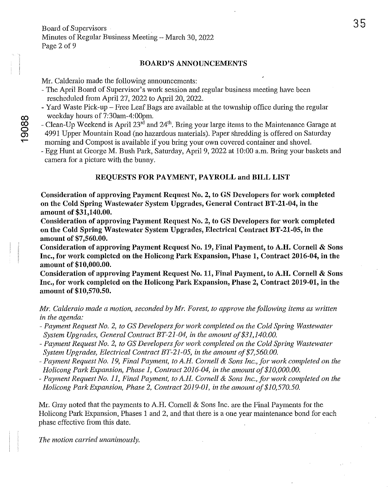#### BOARD'S ANNOUNCEMENTS

Mr. Calderaio made the following announcements:

- The April Board of Supervisor's work session and regular business meeting have been rescheduled from April 27, 2022 to April 20, 2022.
- Yard Waste Pick-up Free Leaf Bags are available at the township office during the regular weekday hours of 7:30am-4:00pm.
- Clean-Up Weekend is April 23<sup>rd</sup> and 24<sup>th</sup>. Bring your large items to the Maintenance Garage at 4991 Upper Mountain Road (no hazardous materials). Paper shredding is offered on Saturday morning and Compost is available if you bring your own covered container and shovel.
- Egg Hunt at George M. Bush Park, Saturday, April 9, 2022 at 10:00 a.m. Bring your baskets and camera for a picture with the bunny.

## REQUESTS FOR PAYMENT, PAYROLL and BILL LIST

Consideration of approving Payment Request No.2, to GS Developers for work completed on the Cold Spring Wastewater System Upgrades, General Contract BT-21-04, in the amount of \$31,140.00.

Consideration of approving Payment Request No.2, to GS Developers for work completed on the Cold Spring Wastewater System Upgrades, Electrical Contract BT-21-05, in the amount of \$7,560.00.

Consideration of approving Payment Request No. 19, Final Payment, to A.H. Cornell & Sons Inc., for work completed on the Holicong Park Expansion, Phase 1, Contract 2016-04, in the amount of \$10,000.00.

Consideration of approving Payment Request No. 11, Final Payment, to A.H. Cornell & Sons Inc., for work completed on the Holicong Park Expansion, Phase 2, Contract 2019-01, in the amount of \$10,570.50.

*Mr. Calderaio made a motion, seconded by Mr. Forest, to approve the following items as written in the agenda:* 

- *- Payment Request No.2, to* GS *Developers for work completed on the Cold Spring Wastewater System Upgrades, General Contract BT-21-04, in the amount of \$31,140.00.*
- *- Payment Request No.2, to* GS *Developers for work completed on the Cold Spring Wastewater System Upgrades, Electrical Contract BT-21-05, in the amount of \$7,560.00.*
- *- Payment Request No.* 19, *Final Payment, to A.H. Cornell* & *Sons Inc., for work completed on the Holicong Park Expansion, Phase 1, Contract 2016-04, in the amount of \$10,000.00.*
- *- Payment Request No.* 11, *Final Payment, to A.H. Cornell* & *Sons Inc., for work completed on the Holicong Park Expansion, Phase* 2, *Contract 2019-01, in the amount of \$10,570.50.*

Mr. Gray noted that the payments to A.H. Cornell & Sons Inc. are the Final Payments for the Holicong Park Expansion, Phases 1 and 2, and that there is a one year maintenance bond for each phase effective from this date.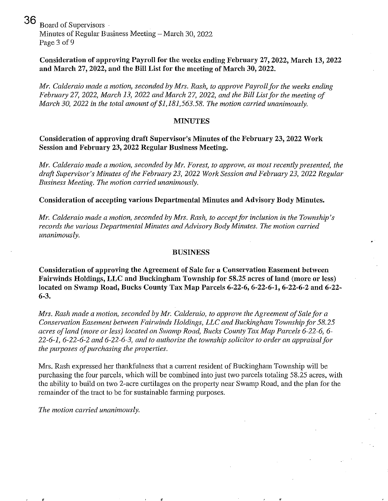36 Board of Supervisors Minutes of Regular Business Meeting  $-$  March 30, 2022 Page 3 of 9

# Consideration of approving Payroll for the weeks ending February 27, 2022, March 13, 2022 and March 27, 2022, and the Bill List for the meeting of March 30, 2022.

*Mr. Calderaio made a motion, seconded by Mrs. Rash, to approve Payroll for the weeks ending February* 27, *2022, March* 13, *2022 and March* 27, *2022, and the Bill Listfor the meeting of March 30, 2022 in the total amount of* \$1,181,563.58. *The motion carried unanimously.* 

#### **MINUTES**

## Consideration of approving draft Supervisor's Minutes of the February 23, 2022 Work Session and February 23, 2022 Regular Business Meeting.

*Mr. Calderaio made a motion, seconded by Mr. Forest, to approve, as most recently presented, the draft Supervisor's Minutes of the Februmy 23,2022 Work Session and Februmy 23,2022 Regular Business Meeting. The motion carried unanimously.* 

#### Consideration of accepting various Departmental Minutes and Advisory Body Minutes.

*Mr. Calderaio made a motion, seconded by Mrs. Rash, to accept for inclusion in the Township's*  records the various Departmental Minutes and Advisory Body Minutes. The motion carried *unanimously.* 

#### BUSINESS

Consideration of approving the Agreement of Sale for a Conservation Easement between Fairwinds Holdings, LLC and Buckingham Township for 58.25 acres of land (more or less) located on Swamp Road, Bucks County Tax Map Parcels 6-22-6, 6-22-6-1, 6-22-6-2 and 6-22-6-3.

*Mrs. Rash made a motion, seconded by Mr. Calderaio, to approve the Agreement of Sale for a Conservation Easement between Fairwinds Holdings, LLC and Buckingham Township for 58.25 acres of land (more or less) located on Swamp Road, Bucks County Tax Map Parcels* 6-22-6, 6- *22-6-1,6-22-6-2 and* 6-22-6-3, *and to authorize the township solicitor to order an appraisal Jar the purposes of purchasing the properties.* 

Mrs. Rash expressed her thankfulness that a current resident of Buckingham Township will be purchasing the four parcels, which will be combined into just two parcels totaling 58.25 acres, with the ability to build on two 2-acre curtilages on the property near Swamp Road, and the plan for the remainder of the tract to be for sustainable farming purposes.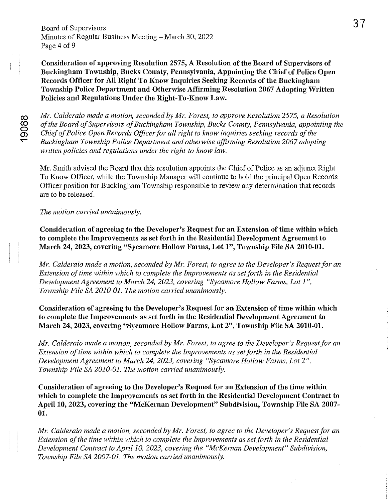Board of Supervisors Minutes of Regular Business Meeting – March 30, 2022 Page 4 of 9

Consideration of approving Resolntion 2575, A Resolution of the Board of Supervisors of Buckingham Township, Bucks County, Pennsylvania, Appointing the Chief of Police Open Records Officer for All Right To Know Inquiries Seeking Records of the Buckingham Township Police Department and Otherwise Affirming Resolution 2067 Adopting Written Policies and Regulations Under the Right-To-Know Law.

*Mr. Calderaio made a motion, seconded by Mr. Forest, to approve Resolution* 2575, *a Resolution of the Board of Supervisors of Buckingham Township, Bucks County, Pennsylvania, appointing the Chief of Police Open Records Officer for all right to know inquiries seeking records of the Buckingham Township Police Department and othe/wise ajfinning Resolution 2067 adopting written policies and regulations under the right-to-know law.* 

Mr. Smith advised the Board that this resolution appoints the Chief of Police as an adjunct Right To Know Officer, while the Township Manager will continue to hold the principal Open Records Officer position for Buckingham Township responsible to review any determination that records are to be released.

*The motion carried unanimously.* 

Consideration of agreeing to the Developer's Request for an Extension of time within which to complete the Improvements as set forth in the Residential Development Agreement to March 24, 2023, covering "Sycamore Hollow Farms, Lot I", Township File SA 2010-01.

*Mr. Calderaio made a motion, seconded by Mr. Forest, to agree to the Developer's Request for an Extension of time within which to complete the Improvements as set forth in the Residential Development Agreement to March* 24, *2023, covering "Sycamore Hollow Farms, Lot* 1 ", *Township File SA 20IO-01. The motion carried unanimously.* 

Consideration of agreeing to the Developer's Request for an Extension of time within which to complete the Improvements as set forth in the Residential Development Agreement to March 24, 2023, covering "Sycamore Hollow Farms, Lot 2", Township File SA 2010-01.

*Mr. Calderaio made a motion, seconded by Mr. Forest, to agree to the Developer's Request for an Extension of time within which to complete the Improvements as set forth in the Residential Development Agreement to March 24,2023, covering "Sycamore Hollow Fanns, Lot 2", Township File SA 2010-01. The motion carried unanimously.* 

Consideration of agreeing to the Developer's Request for an Extension of the time within which to complete the Improvements as set forth in the Residential Development Contract to April 10, 2023, covering the "McKernan Development" Subdivision, Township File SA 2007- 01.

*Mr. Calderaio made a motion, seconded by Mr. Forest, to agree to the Developer's Requestfor an Extension of the time within which to complete the Improvements as set forth in the Residential Development Contract to April 10, 2023, covering the "McKernan Development" Subdivision, Township File SA 2007-01. The motion carried unanimously.*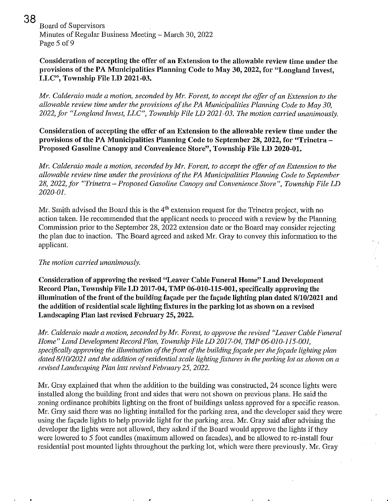,

38 Board of Supervisors Minutes of Regular Business Meeting – March 30, 2022 Page 5 of 9

# Consideration of accepting the offer of an Extension to the allowable review time under the provisions of the PA Municipalities Planning Code to May 30, 2022, for "Longland Invest, LLC", Township File **LD** 2021-03.

*Mr. Calderaio made a motion, seconded by Mr. Forest, to accept the offer of an Extension to the allowable review time under the provisions of the PA Municipalities Planning Code to May 30, 2022, for "Long land Invest, LLC", Township File LD 2021-03. The motion carried unanimously.* 

Consideration of accepting the offer of an Extension to the allowable review time under the provisions of the PA Municipalities Planning Code to September 28, 2022, for "Trinetra -Proposed Gasoline Canopy and Convenience Store", Township File **LD** 2020-01.

*Mr. Calderaio made a motion, seconded by Mr. Forest, to accept the offer of an Extension to the allowable review time under the provisions of the PA Municipalities Planning Code to September 28,2022, for "Trinetra* - *Proposed Gasoline Canopy and Convenience Store", Township File LD 2020-01.* 

Mr. Smith advised the Board this is the  $4<sup>th</sup>$  extension request for the Trinetra project, with no action taken. He recommended that the applicant needs to proceed with a review by the Planning Commission prior to the September 28, 2022 extension date or the Board may consider rejecting the plan due to inaction. The Board agreed and asked Mr. Gray to convey this information to the applicant.

#### *The motion carried unanimously.*

Consideration of approving the revised ''Leaver Cable Funeral Home" Land Development Record Plan, Township File **LD** 2017-04, TMP 06-010-115-001, specifically approving the illumination of the front of the building fa\;ade per the fa\;ade lighting plan dated *8110/2021* and the addition of residential scale lighting fixtures in the parking lot as shown on a revised Landscaping Plan last revised February 25, 2022.

*MI: Calderaio made a motion, seconded by Mr. Forest, to approve the revised "Leaver Cable Funeral Home" Land Development Record Plan, Township File LD 2017-04, TMP 06-010-115-001,*  specifically approving the illumination of the front of the building façade per the façade lighting plan *dated 8110/2021 and the addition of residential scale lighting fixtures in the parking lot as shown on a revised Landscaping Plan last revised February 25, 2022.* 

Mr. Gray explained that when the addition to the building was constructed, 24 sconce lights were installed along the building front and sides that were not shown on previous plans. He said the zoning ordinance prohibits lighting on the front of buildings unless approved for a specific reason. Mr. Gray said there was no lighting installed for the parking area, and the developer said they were using the facade lights to help provide light for the parking area. Mr. Gray said after advising the developer the lights were not allowed, they asked if the Board wonld approve the lights if they were lowered to 5 foot candles (maximum allowed on facades), and be allowed to re-install four residential post mounted lights throughout the parking lot, which were there previously. Mr. Gray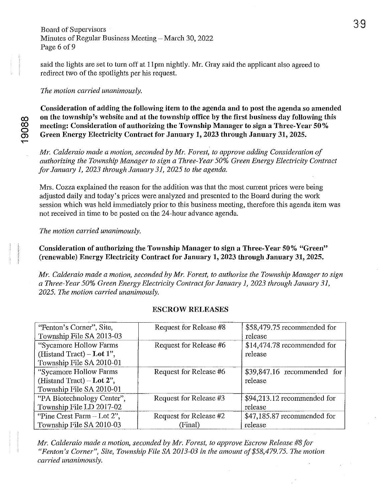## Board of Supervisors Minutes of Regular Business Meeting  $-$  March 30, 2022 Page 6 of 9

said the lights are set to turn off at llpm nightly. Mr. Gray said the applicant also agreed to redirect two of the spotlights per his request.

#### *The motion carried unanimously.*

Consideration of adding the following item to the agenda and to post the agenda so amended on the township's website and at the township office by the first business day following this<br>
cometing: Consideration of authorizing the Township Manager to sign a Three-Year 50%<br>
Green Energy Electricity Contract for Jan ~ meeting: Consideration of authorizing the Township Manager to sign a Three-Year 50 % Green Energy Electricity Contract for January 1, 2023 through January 31, 2025.

*MI'. Calderaio made a motion, seconded by Mr. Forest, to approve adding Consideration of authorizing the Township Manager to sign a Three- Year 50% Green Energy Electricity Contract for January* 1, *2023 through January* 31, *2025 to the agenda.* 

Mrs. Cozza explained the reason for the addition was that the most cunent prices were being adjusted daily and today's prices were analyzed and presented to the Board during the work session which was held immediately prior to this business meeting, therefore this agenda item was not received in time to be posted on the 24-hour advance agenda.

*The motion carried unanimously.* 

Consideration of authorizing the Township Manager to sign a Three-Year 50% "Green" (renewable) Energy Electricity Contract for January 1, 2023 through January 31, 2025.

*Mr. Calderaio made a motion, seconded by MI'. Forest, to authorize the Township Manager to sign a Three-Year 50% Green Energy Electricity Contract for Janumy 1,2023 through January 31, 2025. The motion carried unanimously.* 

## ESCROW RELEASES

| "Fenton's Corner", Site,     | Request for Release #8 | \$58,479.75 recommended for  |
|------------------------------|------------------------|------------------------------|
| Township File SA 2013-03     |                        | release                      |
| "Sycamore Hollow Farms       | Request for Release #6 | $$14,474.78$ recommended for |
| (Histand Tract) – Lot $1$ ", |                        | release                      |
| Township File SA 2010-01     |                        |                              |
| "Sycamore Hollow Farms       | Request for Release #6 | $$39,847.16$ recommended for |
| (Histand Tract) – Lot $2$ ", |                        | release                      |
| Township File SA 2010-01     |                        |                              |
| "PA Biotechnology Center",   | Request for Release #3 | \$94,213.12 recommended for  |
| Township File LD 2017-02     |                        | release                      |
| "Pine Crest Farm $-$ Lot 2", | Request for Release #2 | \$47,185.87 recommended for  |
| Township File SA 2010-03     | (Final)                | release                      |

*Mr. Calderaio made a motion, seconded by Mr. Forest, to approve Escrow Release #8 for "Fenton's Corner", Site, Township File* SA *2013-03 in the amount of* \$58,479.75. *The motion carried unanimously.*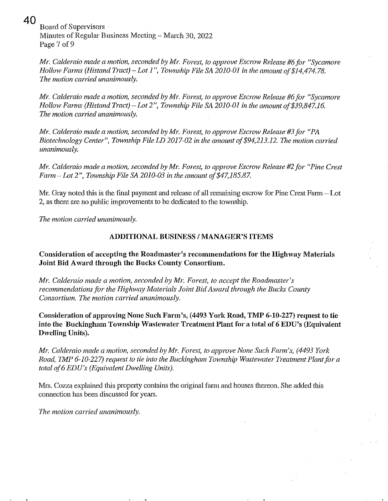**40** 

Board of Supervisors Minutes of Regular Business Meeting – March 30, 2022 Page 7 of 9

*Mr. Calderaio made a motion, seconded by Mr. Forest, to approve Escrow Release #6 for "Sycamore Hollow Fanny (Histand Tract)* - *Lot* 1", *Township File SA 2010-01 in the amount of* \$14,474.78. *The motion carried unanimously.* 

*Mr. Calderaio made a motion, seconded by MI'. Forest, to approve Escrow Release* #6 *for "Sycamore Hollow Farms (Histand Tract) -Lot* 2", *Township File SA 2010-01 in the amount of\$39,847.16. The motion carried unanimously.* 

*Mr. Calderaio made a motion, seconded by Mr. Forest, to approve Escrow Release #3 for "PA Biotechnology Center", Township File LD 2017-02 in the amount of* \$94,213.12. *The motion carried unanimously.* 

*Mr. Calderaio made a motion, seconded by Mr. Forest, to approve Escrow Release #2 for "Pine Crest Farm-Lot* 2", *Township File SA 2010-03 in the amountof\$47,185.87.* 

Mr. Gray noted this is the fmal payment and release of all remaining escrow for Pine Crest Farm - Lot 2, as there are no public improvements to be dedicated to the township.

*The motion carried unanimously.* 

## **ADDITIONAL BUSINESS / MANAGER'S ITEMS**

**Consideration of accepting the Roadmaster's recommendations for the Highway Materials Joint Bid Award through the Bucks County Consortium.** 

*MI'. Calderaio made a motion, seconded by MI'. Forest, to accept the Roadmaster's recommendations for the Highway Materials Joint Bid Award through the Bucks County Consortium. The motion carried unanimously.* 

**Consideration of approving None Such Farm's, (4493 York Road, TMP 6-10-227) request to tie into the Buckingham Township Wastewater Treatment Plant for a total of 6 EDU's (Equivalent Dwelling Units).** 

*Mr. Calderaio made a motion, seconded by Mr. Forest, to approve None Such Farm's, (4493 York \) Road, TMP 6-10-227) request to tie into the Buckingham Township Wastewater Treatment Plant for a total of6 EDU's (Equivalent Dwelling Units).* 

Mrs. Cozza explained this property contains the original farm and houses thereon. She added this connection has been discussed for years.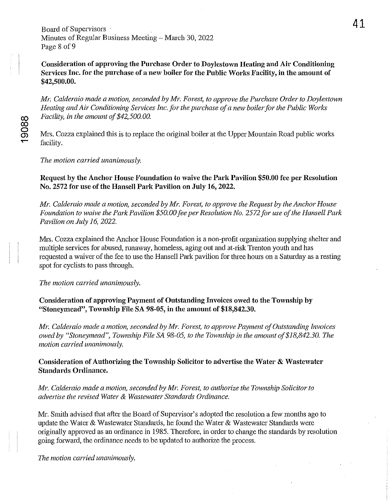Board of Supervisors Minutes of Regular Business Meeting – March 30, 2022 Page 8 of 9

Consideration of approving the Purchase Order to Doylestown Heating and Air Conditioning Services Inc. for the purchase of a new boiler for the Public Works Facility, in the amount of \$42,500.00.

*Mr. Calderaio made a motion, seconded by Mr. Forest, to approve the Purchase Order to Doylestown Heating and Air Conditioning Services Inc.for the purchase of a new boiler for the Public Works Facility, in the amount of \$42,500. 00.* 

Mrs. Cozza explained this is to replace the original boiler at the Upper Mountain Road public works facility.

*The motion carried unanimously.* 

Request by the Anchor House Foundation to waive the Park Pavilion \$50.00 fee per Resolution No. 2572 for use of the Hansell Park Pavilion on July 16, 2022.

*Mr. Calderaio made a motion, seconded by Mr. Forest, to approve the Request by the Anchor House Foundation to waive the Park Pavilion \$50.00 fee per Resolution No.* 2572 *for use of the Hansell Park Pavilion on July* 16, *2022.* 

Mrs. Cozza explained the Anchor House Foundation is a non-profit organization supplying shelter and multiple services for abused, runaway, homeless, aging out and at-risk Trenton youth and has requested a waiver of the fee to use the Hansell Park pavilion for three hours on a Saturday as a resting spot for cyclists to pass through.

*The motion carried unanimously.* 

Consideration of approving Payment of Outstanding Invoices owed to the Township by "Stoneymead", Township File SA 98-05, in the amount of \$18,842.30.

*Mr. Calderaio made a motion, seconded by Mr. Forest, to approve Payment of Outstanding Invoices owed by "Stoneymead", Township File* SA *98-05, to the Township in the amount of \$18,842.30. The motion carried unanimously.* 

Consideration of Authorizing the Township Solicitor to advertise the Water & Wastewater Standards Ordinance.

*Mr. Calderaio made a motion, seconded by Mr. Forest, to authorize the Township Solicitor to advel1ise the revised Water* & *Wastewater Standards Ordinance.* 

Mr. Smith advised that after the Board of Supervisor's adopted the resolution a few months ago to update the Water & Wastewater Standards, he found the Water & Wastewater Standards were originally approved as an ordinance in 1985. Therefore, in order to change the standards by resolution going forward, the ordinance needs to be updated to authorize the process.